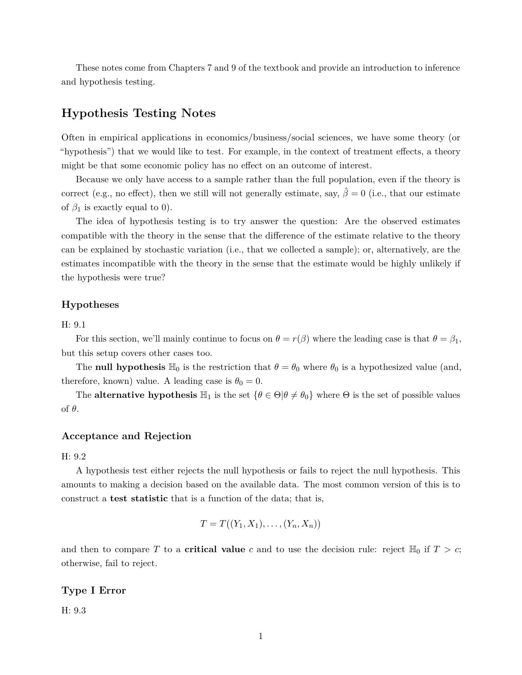These notes come from Chapters 7 and 9 of the textbook and provide an introduction to inference and hypothesis testing.

# **Hypothesis Testing Notes**

Often in empirical applications in economics/business/social sciences, we have some theory (or "hypothesis") that we would like to test. For example, in the context of treatment effects, a theory might be that some economic policy has no effect on an outcome of interest.

Because we only have access to a sample rather than the full population, even if the theory is correct (e.g., no effect), then we still will not generally estimate, say,  $\hat{\beta} = 0$  (i.e., that our estimate of  $\beta_1$  is exactly equal to 0).

The idea of hypothesis testing is to try answer the question: Are the observed estimates compatible with the theory in the sense that the difference of the estimate relative to the theory can be explained by stochastic variation (i.e., that we collected a sample); or, alternatively, are the estimates incompatible with the theory in the sense that the estimate would be highly unlikely if the hypothesis were true?

## **Hypotheses**

## H: 9.1

For this section, we'll mainly continue to focus on  $\theta = r(\beta)$  where the leading case is that  $\theta = \beta_1$ , but this setup covers other cases too.

The **null hypothesis**  $\mathbb{H}_0$  is the restriction that  $\theta = \theta_0$  where  $\theta_0$  is a hypothesized value (and, therefore, known) value. A leading case is  $\theta_0 = 0$ .

The **alternative hypothesis**  $\mathbb{H}_1$  is the set  $\{\theta \in \Theta | \theta \neq \theta_0\}$  where  $\Theta$  is the set of possible values of *θ*.

## **Acceptance and Rejection**

#### H: 9.2

A hypothesis test either rejects the null hypothesis or fails to reject the null hypothesis. This amounts to making a decision based on the available data. The most common version of this is to construct a **test statistic** that is a function of the data; that is,

$$
T = T((Y_1, X_1), \ldots, (Y_n, X_n))
$$

and then to compare T to a **critical value** c and to use the decision rule: reject  $\mathbb{H}_0$  if  $T > c$ ; otherwise, fail to reject.

## **Type I Error**

H: 9.3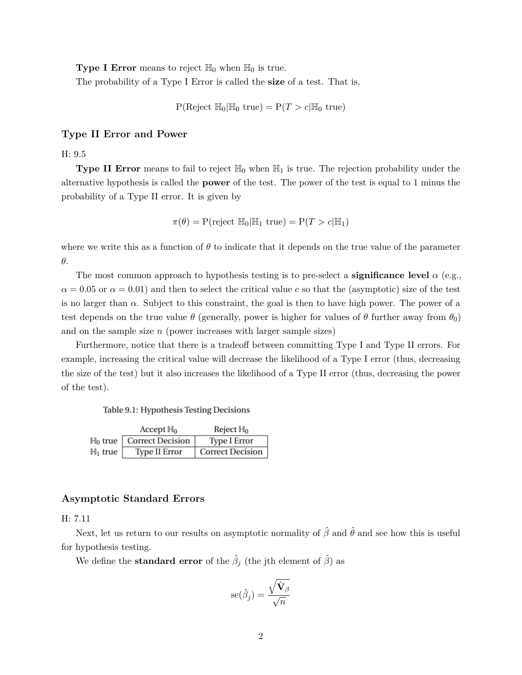**Type I Error** means to reject  $\mathbb{H}_0$  when  $\mathbb{H}_0$  is true. The probability of a Type I Error is called the **size** of a test. That is,

 $P(\text{Reject } \mathbb{H}_0 | \mathbb{H}_0 \text{ true}) = P(T > c | \mathbb{H}_0 \text{ true})$ 

## **Type II Error and Power**

H: 9.5

**Type II Error** means to fail to reject  $\mathbb{H}_0$  when  $\mathbb{H}_1$  is true. The rejection probability under the alternative hypothesis is called the **power** of the test. The power of the test is equal to 1 minus the probability of a Type II error. It is given by

$$
\pi(\theta) = P(\text{reject } \mathbb{H}_0 | \mathbb{H}_1 \text{ true}) = P(T > c | \mathbb{H}_1)
$$

where we write this as a function of  $\theta$  to indicate that it depends on the true value of the parameter *θ*.

The most common approach to hypothesis testing is to pre-select a **significance level**  $\alpha$  (e.g.,  $\alpha = 0.05$  or  $\alpha = 0.01$ ) and then to select the critical value *c* so that the (asymptotic) size of the test is no larger than  $\alpha$ . Subject to this constraint, the goal is then to have high power. The power of a test depends on the true value  $\theta$  (generally, power is higher for values of  $\theta$  further away from  $\theta_0$ ) and on the sample size *n* (power increases with larger sample sizes)

Furthermore, notice that there is a tradeoff between committing Type I and Type II errors. For example, increasing the critical value will decrease the likelihood of a Type I error (thus, decreasing the size of the test) but it also increases the likelihood of a Type II error (thus, decreasing the power of the test).

#### Table 9.1: Hypothesis Testing Decisions

|            | Accept $H_0$                  | Reject $H_0$            |
|------------|-------------------------------|-------------------------|
|            | $H_0$ true   Correct Decision | <b>Type I Error</b>     |
| $H_1$ true | <b>Type II Error</b>          | <b>Correct Decision</b> |

## **Asymptotic Standard Errors**

## H: 7.11

Next, let us return to our results on asymptotic normality of  $\hat{\beta}$  and  $\hat{\theta}$  and see how this is useful for hypothesis testing.

We define the **standard error** of the  $\hat{\beta}_j$  (the jth element of  $\hat{\beta}$ ) as

$$
\mathrm{se}(\hat{\beta}_j) = \frac{\sqrt{\hat{\mathbf{V}}_{\beta}}}{\sqrt{n}}
$$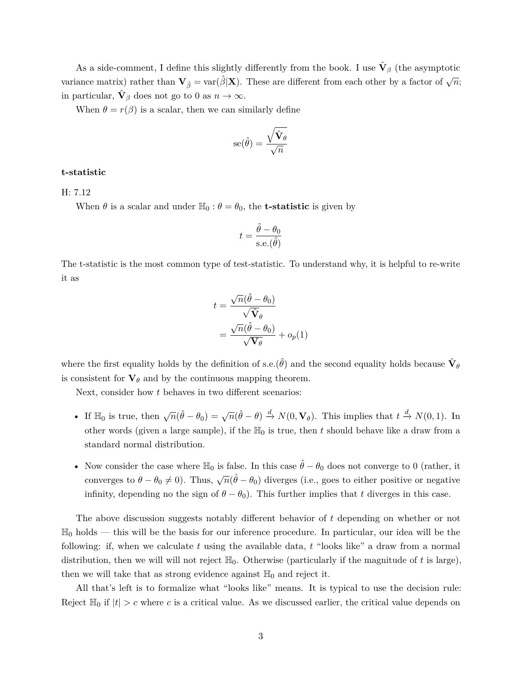As a side-comment, I define this slightly differently from the book. I use  $\hat{\mathbf{V}}_{\beta}$  (the asymptotic variance matrix) rather than  $\mathbf{V}_{\hat{\beta}} = \text{var}(\hat{\beta}|\mathbf{X})$ . These are different from each other by a factor of  $\sqrt{n}$ ; in particular,  $\hat{\mathbf{V}}_{\beta}$  does not go to 0 as  $n \to \infty$ .

When  $\theta = r(\beta)$  is a scalar, then we can similarly define

$$
\mathrm{se}(\hat{\theta}) = \frac{\sqrt{\hat{\mathbf{V}}_{\theta}}}{\sqrt{n}}
$$

#### **t-statistic**

## H: 7.12

When  $\theta$  is a scalar and under  $\mathbb{H}_0$  :  $\theta = \theta_0$ , the **t-statistic** is given by

$$
t = \frac{\hat{\theta} - \theta_0}{\text{s.e.}(\hat{\theta})}
$$

The t-statistic is the most common type of test-statistic. To understand why, it is helpful to re-write it as

$$
t = \frac{\sqrt{n}(\hat{\theta} - \theta_0)}{\sqrt{\hat{V}}_{\theta}}
$$

$$
= \frac{\sqrt{n}(\hat{\theta} - \theta_0)}{\sqrt{\mathbf{V}}_{\theta}} + o_p(1)
$$

where the first equality holds by the definition of s.e. $(\hat{\theta})$  and the second equality holds because  $\hat{\mathbf{V}}_{\theta}$ is consistent for  $V_\theta$  and by the continuous mapping theorem.

Next, consider how *t* behaves in two different scenarios:

- If  $\mathbb{H}_0$  is true, then  $\sqrt{n}(\hat{\theta} \theta_0) = \sqrt{n}(\hat{\theta} \theta) \stackrel{d}{\rightarrow} N(0, \mathbf{V}_{\theta})$ . This implies that  $t \stackrel{d}{\rightarrow} N(0, 1)$ . In other words (given a large sample), if the  $\mathbb{H}_0$  is true, then *t* should behave like a draw from a standard normal distribution.
- Now consider the case where  $\mathbb{H}_0$  is false. In this case  $\hat{\theta} \theta_0$  does not converge to 0 (rather, it converges to  $\theta - \theta_0 \neq 0$ ). Thus,  $\sqrt{n}(\hat{\theta} - \theta_0)$  diverges (i.e., goes to either positive or negative infinity, depending no the sign of  $\theta - \theta_0$ ). This further implies that *t* diverges in this case.

The above discussion suggests notably different behavior of *t* depending on whether or not  $\mathbb{H}_0$  holds — this will be the basis for our inference procedure. In particular, our idea will be the following: if, when we calculate *t* using the available data, *t* "looks like" a draw from a normal distribution, then we will will not reject  $\mathbb{H}_0$ . Otherwise (particularly if the magnitude of t is large). then we will take that as strong evidence against  $\mathbb{H}_0$  and reject it.

All that's left is to formalize what "looks like" means. It is typical to use the decision rule: Reject  $\mathbb{H}_0$  if  $|t| > c$  where c is a critical value. As we discussed earlier, the critical value depends on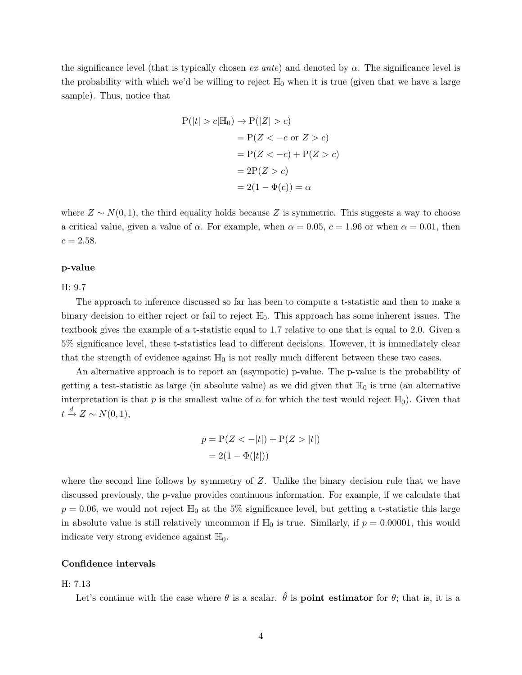the significance level (that is typically chosen *ex ante*) and denoted by *α*. The significance level is the probability with which we'd be willing to reject  $\mathbb{H}_0$  when it is true (given that we have a large sample). Thus, notice that

$$
P(|t| > c | \mathbb{H}_0) \rightarrow P(|Z| > c)
$$
  
= 
$$
P(Z < -c \text{ or } Z > c)
$$
  
= 
$$
P(Z < -c) + P(Z > c)
$$
  
= 
$$
2P(Z > c)
$$
  
= 
$$
2(1 - \Phi(c)) = \alpha
$$

where  $Z \sim N(0, 1)$ , the third equality holds because Z is symmetric. This suggests a way to choose a critical value, given a value of  $\alpha$ . For example, when  $\alpha = 0.05$ ,  $c = 1.96$  or when  $\alpha = 0.01$ , then  $c = 2.58$ .

#### **p-value**

#### H: 9.7

The approach to inference discussed so far has been to compute a t-statistic and then to make a binary decision to either reject or fail to reject  $\mathbb{H}_0$ . This approach has some inherent issues. The textbook gives the example of a t-statistic equal to 1.7 relative to one that is equal to 2.0. Given a 5% significance level, these t-statistics lead to different decisions. However, it is immediately clear that the strength of evidence against  $\mathbb{H}_0$  is not really much different between these two cases.

An alternative approach is to report an (asympotic) p-value. The p-value is the probability of getting a test-statistic as large (in absolute value) as we did given that  $\mathbb{H}_0$  is true (an alternative interpretation is that *p* is the smallest value of  $\alpha$  for which the test would reject  $\mathbb{H}_0$ ). Given that  $t \stackrel{d}{\rightarrow} Z \sim N(0, 1),$ 

$$
p = P(Z < -|t|) + P(Z > |t|)
$$
\n
$$
= 2(1 - \Phi(|t|))
$$

where the second line follows by symmetry of Z. Unlike the binary decision rule that we have discussed previously, the p-value provides continuous information. For example, if we calculate that  $p = 0.06$ , we would not reject  $\mathbb{H}_0$  at the 5% significance level, but getting a t-statistic this large in absolute value is still relatively uncommon if  $\mathbb{H}_0$  is true. Similarly, if  $p = 0.00001$ , this would indicate very strong evidence against  $\mathbb{H}_0$ .

#### **Confidence intervals**

#### H: 7.13

Let's continue with the case where  $\theta$  is a scalar.  $\hat{\theta}$  is **point estimator** for  $\theta$ ; that is, it is a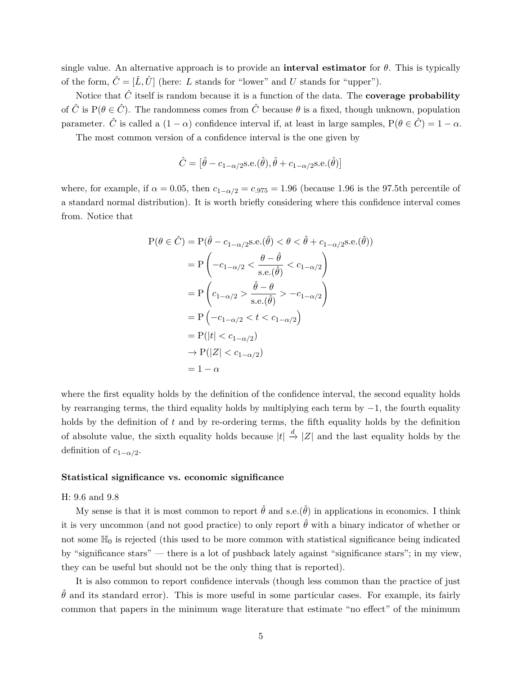single value. An alternative approach is to provide an **interval estimator** for  $\theta$ . This is typically of the form,  $\hat{C} = [\hat{L}, \hat{U}]$  (here: *L* stands for "lower" and *U* stands for "upper").

Notice that  $\hat{C}$  itself is random because it is a function of the data. The **coverage probability** of  $\hat{C}$  is  $P(\theta \in \hat{C})$ . The randomness comes from  $\hat{C}$  because  $\theta$  is a fixed, though unknown, population parameter.  $\hat{C}$  is called a  $(1 - \alpha)$  confidence interval if, at least in large samples,  $P(\theta \in \hat{C}) = 1 - \alpha$ .

The most common version of a confidence interval is the one given by

$$
\hat{C} = \big[\hat{\theta} - c_{1-\alpha/2}\text{s.e.}(\hat{\theta}), \hat{\theta} + c_{1-\alpha/2}\text{s.e.}(\hat{\theta})\big]
$$

where, for example, if  $\alpha = 0.05$ , then  $c_{1-\alpha/2} = c_{.975} = 1.96$  (because 1.96 is the 97.5th percentile of a standard normal distribution). It is worth briefly considering where this confidence interval comes from. Notice that

$$
P(\theta \in \hat{C}) = P(\hat{\theta} - c_{1-\alpha/2} s.e.(\hat{\theta}) < \theta < \hat{\theta} + c_{1-\alpha/2} s.e.(\hat{\theta}))
$$
  
\n
$$
= P\left(-c_{1-\alpha/2} < \frac{\theta - \hat{\theta}}{s.e.(\hat{\theta})} < c_{1-\alpha/2}\right)
$$
  
\n
$$
= P\left(c_{1-\alpha/2} > \frac{\hat{\theta} - \theta}{s.e.(\hat{\theta})} > -c_{1-\alpha/2}\right)
$$
  
\n
$$
= P\left(-c_{1-\alpha/2} < t < c_{1-\alpha/2}\right)
$$
  
\n
$$
= P(|t| < c_{1-\alpha/2})
$$
  
\n
$$
\rightarrow P(|Z| < c_{1-\alpha/2})
$$
  
\n
$$
= 1 - \alpha
$$

where the first equality holds by the definition of the confidence interval, the second equality holds by rearranging terms, the third equality holds by multiplying each term by  $-1$ , the fourth equality holds by the definition of *t* and by re-ordering terms, the fifth equality holds by the definition of absolute value, the sixth equality holds because  $|t| \stackrel{d}{\to} |Z|$  and the last equality holds by the definition of  $c_{1-\alpha/2}$ .

## **Statistical significance vs. economic significance**

#### H: 9.6 and 9.8

My sense is that it is most common to report  $\hat{\theta}$  and s.e.  $(\hat{\theta})$  in applications in economics. I think it is very uncommon (and not good practice) to only report  $\hat{\theta}$  with a binary indicator of whether or not some  $\mathbb{H}_0$  is rejected (this used to be more common with statistical significance being indicated by "significance stars" — there is a lot of pushback lately against "significance stars"; in my view, they can be useful but should not be the only thing that is reported).

It is also common to report confidence intervals (though less common than the practice of just  $\hat{\theta}$  and its standard error). This is more useful in some particular cases. For example, its fairly common that papers in the minimum wage literature that estimate "no effect" of the minimum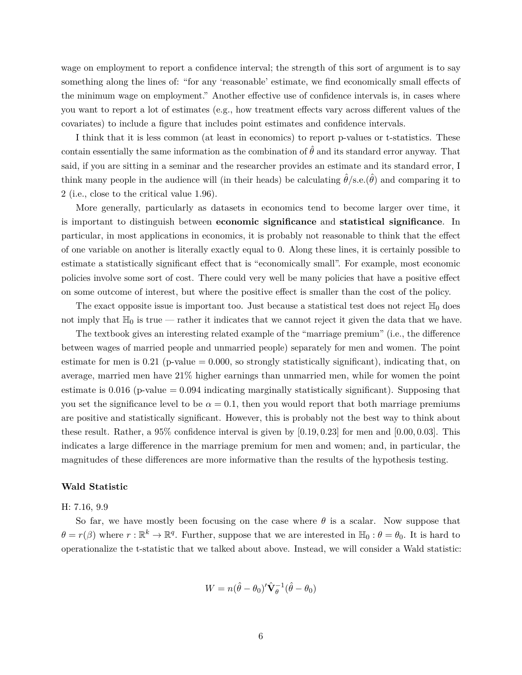wage on employment to report a confidence interval; the strength of this sort of argument is to say something along the lines of: "for any 'reasonable' estimate, we find economically small effects of the minimum wage on employment." Another effective use of confidence intervals is, in cases where you want to report a lot of estimates (e.g., how treatment effects vary across different values of the covariates) to include a figure that includes point estimates and confidence intervals.

I think that it is less common (at least in economics) to report p-values or t-statistics. These contain essentially the same information as the combination of  $\hat{\theta}$  and its standard error anyway. That said, if you are sitting in a seminar and the researcher provides an estimate and its standard error, I think many people in the audience will (in their heads) be calculating  $\hat{\theta}/s.e.(\hat{\theta})$  and comparing it to 2 (i.e., close to the critical value 1.96).

More generally, particularly as datasets in economics tend to become larger over time, it is important to distinguish between **economic significance** and **statistical significance**. In particular, in most applications in economics, it is probably not reasonable to think that the effect of one variable on another is literally exactly equal to 0. Along these lines, it is certainly possible to estimate a statistically significant effect that is "economically small". For example, most economic policies involve some sort of cost. There could very well be many policies that have a positive effect on some outcome of interest, but where the positive effect is smaller than the cost of the policy.

The exact opposite issue is important too. Just because a statistical test does not reject  $\mathbb{H}_0$  does not imply that  $\mathbb{H}_0$  is true — rather it indicates that we cannot reject it given the data that we have.

The textbook gives an interesting related example of the "marriage premium" (i.e., the difference between wages of married people and unmarried people) separately for men and women. The point estimate for men is  $0.21$  (p-value  $= 0.000$ , so strongly statistically significant), indicating that, on average, married men have 21% higher earnings than unmarried men, while for women the point estimate is  $0.016$  (p-value  $= 0.094$  indicating marginally statistically significant). Supposing that you set the significance level to be  $\alpha = 0.1$ , then you would report that both marriage premiums are positive and statistically significant. However, this is probably not the best way to think about these result. Rather, a 95% confidence interval is given by [0*.*19*,* 0*.*23] for men and [0*.*00*,* 0*.*03]. This indicates a large difference in the marriage premium for men and women; and, in particular, the magnitudes of these differences are more informative than the results of the hypothesis testing.

#### **Wald Statistic**

#### H: 7.16, 9.9

So far, we have mostly been focusing on the case where  $\theta$  is a scalar. Now suppose that  $\theta = r(\beta)$  where  $r : \mathbb{R}^k \to \mathbb{R}^q$ . Further, suppose that we are interested in  $\mathbb{H}_0 : \theta = \theta_0$ . It is hard to operationalize the t-statistic that we talked about above. Instead, we will consider a Wald statistic:

$$
W = n(\hat{\theta} - \theta_0)'\hat{\mathbf{V}}_{\theta}^{-1}(\hat{\theta} - \theta_0)
$$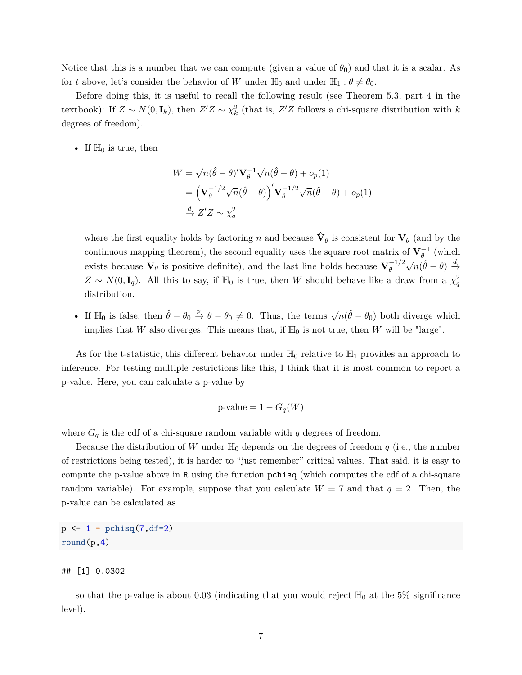Notice that this is a number that we can compute (given a value of  $\theta_0$ ) and that it is a scalar. As for *t* above, let's consider the behavior of *W* under  $\mathbb{H}_0$  and under  $\mathbb{H}_1$  :  $\theta \neq \theta_0$ .

Before doing this, it is useful to recall the following result (see Theorem 5.3, part 4 in the textbook): If  $Z \sim N(0, I_k)$ , then  $Z'Z \sim \chi^2_k$  (that is,  $Z'Z$  follows a chi-square distribution with *k* degrees of freedom).

• If  $\mathbb{H}_0$  is true, then

$$
W = \sqrt{n}(\hat{\theta} - \theta)' \mathbf{V}_{\theta}^{-1} \sqrt{n}(\hat{\theta} - \theta) + o_p(1)
$$
  
= 
$$
(\mathbf{V}_{\theta}^{-1/2} \sqrt{n}(\hat{\theta} - \theta))' \mathbf{V}_{\theta}^{-1/2} \sqrt{n}(\hat{\theta} - \theta) + o_p(1)
$$
  

$$
\stackrel{d}{\rightarrow} Z'Z \sim \chi_q^2
$$

where the first equality holds by factoring *n* and because  $\hat{\mathbf{V}}_{\theta}$  is consistent for  $\mathbf{V}_{\theta}$  (and by the continuous mapping theorem), the second equality uses the square root matrix of  $V_{\theta}^{-1}$  (which exists because  $V_{\theta}$  is positive definite), and the last line holds because  $V_{\theta}^{-1/2}$ *θ*  $\sqrt{n}(\hat{\theta} - \theta) \stackrel{d}{\rightarrow}$  $Z \sim N(0, \mathbf{I}_q)$ . All this to say, if  $\mathbb{H}_0$  is true, then *W* should behave like a draw from a  $\chi_q^2$ distribution.

• If  $\mathbb{H}_0$  is false, then  $\hat{\theta} - \theta_0 \stackrel{p}{\to} \theta - \theta_0 \neq 0$ . Thus, the terms  $\sqrt{n}(\hat{\theta} - \theta_0)$  both diverge which implies that *W* also diverges. This means that, if  $\mathbb{H}_0$  is not true, then *W* will be "large".

As for the t-statistic, this different behavior under  $\mathbb{H}_0$  relative to  $\mathbb{H}_1$  provides an approach to inference. For testing multiple restrictions like this, I think that it is most common to report a p-value. Here, you can calculate a p-value by

p-value = 
$$
1 - G_q(W)
$$

where  $G_q$  is the cdf of a chi-square random variable with  $q$  degrees of freedom.

Because the distribution of W under  $\mathbb{H}_0$  depends on the degrees of freedom q (i.e., the number of restrictions being tested), it is harder to "just remember" critical values. That said, it is easy to compute the p-value above in R using the function pchisq (which computes the cdf of a chi-square random variable). For example, suppose that you calculate  $W = 7$  and that  $q = 2$ . Then, the p-value can be calculated as

p <- 1 **- pchisq**(7,df=2)  $round(p, 4)$ 

# ## [1] 0.0302

so that the p-value is about 0.03 (indicating that you would reject  $\mathbb{H}_0$  at the 5% significance level).